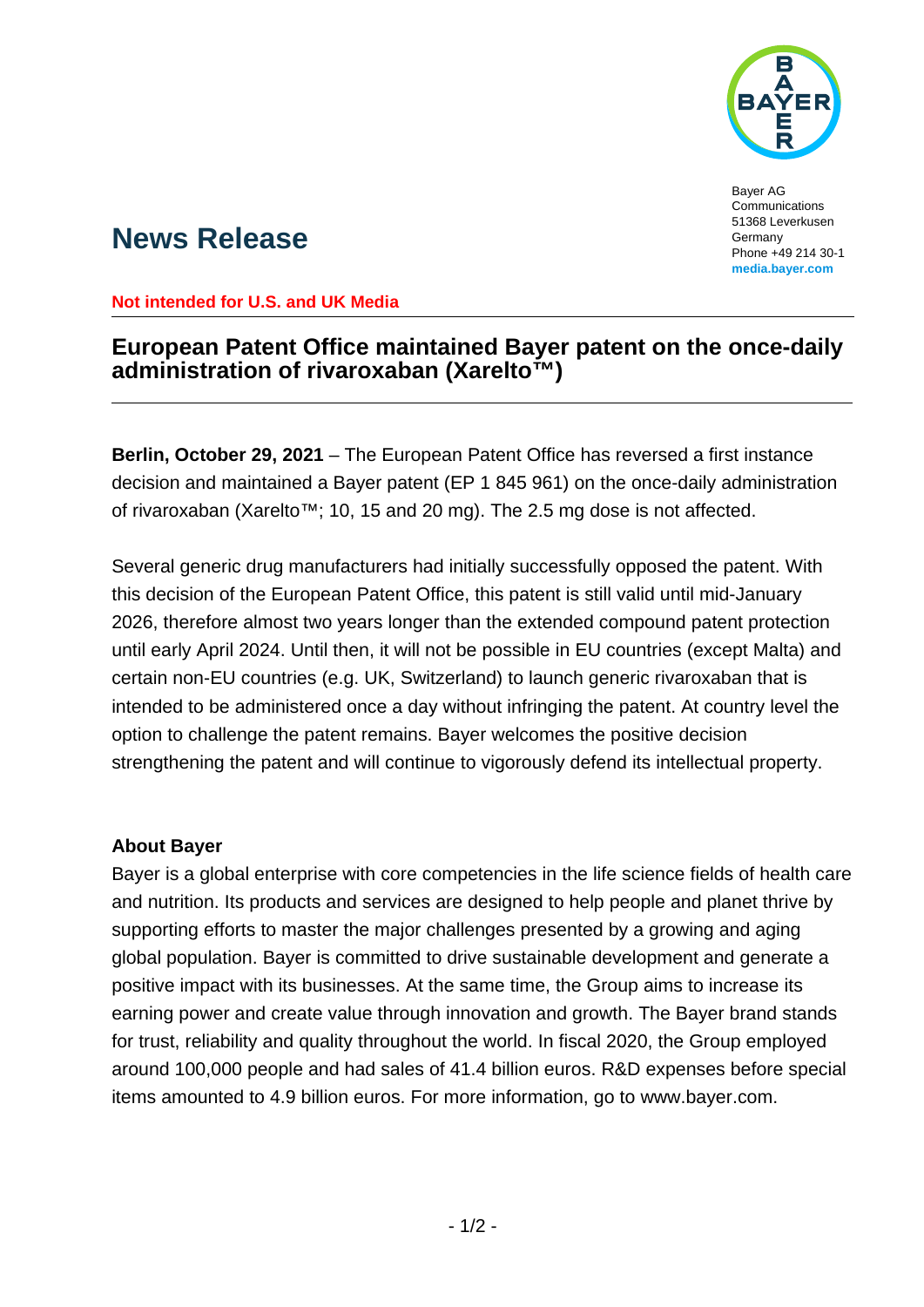

Bayer AG Communications 51368 Leverkusen Germany Phone +49 214 30-1 **[media.bayer.com](http://media.bayer.com/)**

## **News Release**

**Not intended for U.S. and UK Media**

## **European Patent Office maintained Bayer patent on the once-daily administration of rivaroxaban (Xarelto™)**

**Berlin, October 29, 2021** – The European Patent Office has reversed a first instance decision and maintained a Bayer patent (EP 1 845 961) on the once-daily administration of rivaroxaban (Xarelto™; 10, 15 and 20 mg). The 2.5 mg dose is not affected.

Several generic drug manufacturers had initially successfully opposed the patent. With this decision of the European Patent Office, this patent is still valid until mid-January 2026, therefore almost two years longer than the extended compound patent protection until early April 2024. Until then, it will not be possible in EU countries (except Malta) and certain non-EU countries (e.g. UK, Switzerland) to launch generic rivaroxaban that is intended to be administered once a day without infringing the patent. At country level the option to challenge the patent remains. Bayer welcomes the positive decision strengthening the patent and will continue to vigorously defend its intellectual property.

## **About Bayer**

Bayer is a global enterprise with core competencies in the life science fields of health care and nutrition. Its products and services are designed to help people and planet thrive by supporting efforts to master the major challenges presented by a growing and aging global population. Bayer is committed to drive sustainable development and generate a positive impact with its businesses. At the same time, the Group aims to increase its earning power and create value through innovation and growth. The Bayer brand stands for trust, reliability and quality throughout the world. In fiscal 2020, the Group employed around 100,000 people and had sales of 41.4 billion euros. R&D expenses before special items amounted to 4.9 billion euros. For more information, go to [www.bayer.com.](http://www.bayer.com/)